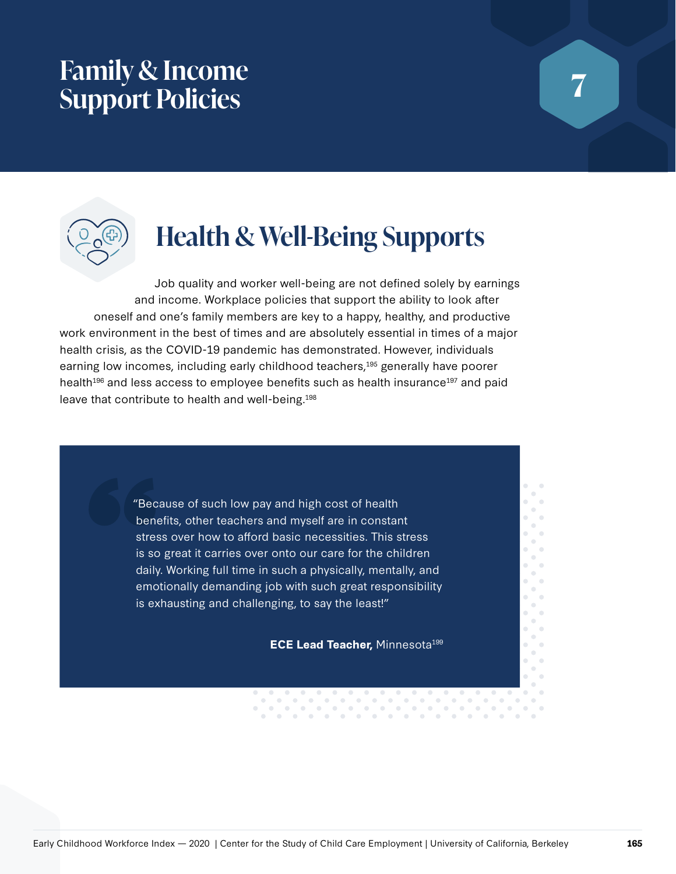## **Family & Income Support Policies**



# **Health & Well-Being Supports**

Job quality and worker well-being are not defined solely by earnings and income. Workplace policies that support the ability to look after oneself and one's family members are key to a happy, healthy, and productive work environment in the best of times and are absolutely essential in times of a major health crisis, as the COVID-19 pandemic has demonstrated. However, individuals earning low incomes, including early childhood teachers,<sup>195</sup> generally have poorer health<sup>196</sup> and less access to employee benefits such as health insurance<sup>197</sup> and paid leave that contribute to health and well-being.198

> "Because of such low pay and high cost of health benefits, other teachers and myself are in constant stress over how to afford basic necessities. This stress is so great it carries over onto our care for the children daily. Working full time in such a physically, mentally, and emotionally demanding job with such great responsibility is exhausting and challenging, to say the least!"

> > $\bullet$

 $\circ$ 

 $\bullet$ 

**ECE Lead Teacher, Minnesota<sup>199</sup>** 

 $\odot$ 

 $\bullet$ 

 $\bullet$ 

 $\bullet$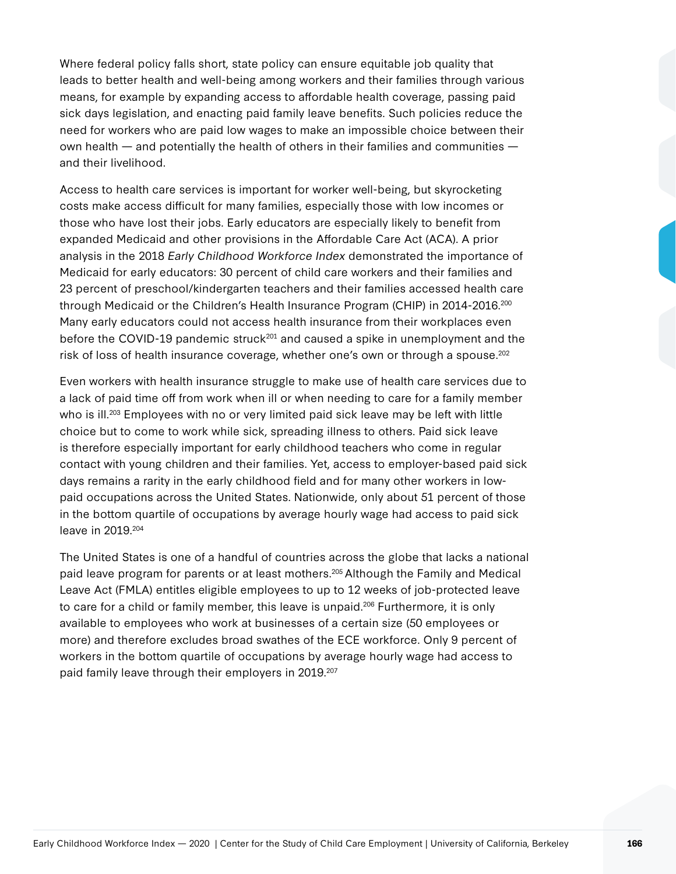Where federal policy falls short, state policy can ensure equitable job quality that leads to better health and well-being among workers and their families through various means, for example by expanding access to affordable health coverage, passing paid sick days legislation, and enacting paid family leave benefits. Such policies reduce the need for workers who are paid low wages to make an impossible choice between their own health — and potentially the health of others in their families and communities and their livelihood.

Access to health care services is important for worker well-being, but skyrocketing costs make access difficult for many families, especially those with low incomes or those who have lost their jobs. Early educators are especially likely to benefit from expanded Medicaid and other provisions in the Affordable Care Act (ACA). A prior analysis in the 2018 Early Childhood Workforce Index demonstrated the importance of Medicaid for early educators: 30 percent of child care workers and their families and 23 percent of preschool/kindergarten teachers and their families accessed health care through Medicaid or the Children's Health Insurance Program (CHIP) in 2014-2016.200 Many early educators could not access health insurance from their workplaces even before the COVID-19 pandemic struck<sup>201</sup> and caused a spike in unemployment and the risk of loss of health insurance coverage, whether one's own or through a spouse.<sup>202</sup>

Even workers with health insurance struggle to make use of health care services due to a lack of paid time off from work when ill or when needing to care for a family member who is ill.<sup>203</sup> Employees with no or very limited paid sick leave may be left with little choice but to come to work while sick, spreading illness to others. Paid sick leave is therefore especially important for early childhood teachers who come in regular contact with young children and their families. Yet, access to employer-based paid sick days remains a rarity in the early childhood field and for many other workers in lowpaid occupations across the United States. Nationwide, only about 51 percent of those in the bottom quartile of occupations by average hourly wage had access to paid sick leave in 2019.204

The United States is one of a handful of countries across the globe that lacks a national paid leave program for parents or at least mothers.205 Although the Family and Medical Leave Act (FMLA) entitles eligible employees to up to 12 weeks of job-protected leave to care for a child or family member, this leave is unpaid.<sup>206</sup> Furthermore, it is only available to employees who work at businesses of a certain size (50 employees or more) and therefore excludes broad swathes of the ECE workforce. Only 9 percent of workers in the bottom quartile of occupations by average hourly wage had access to paid family leave through their employers in 2019.<sup>207</sup>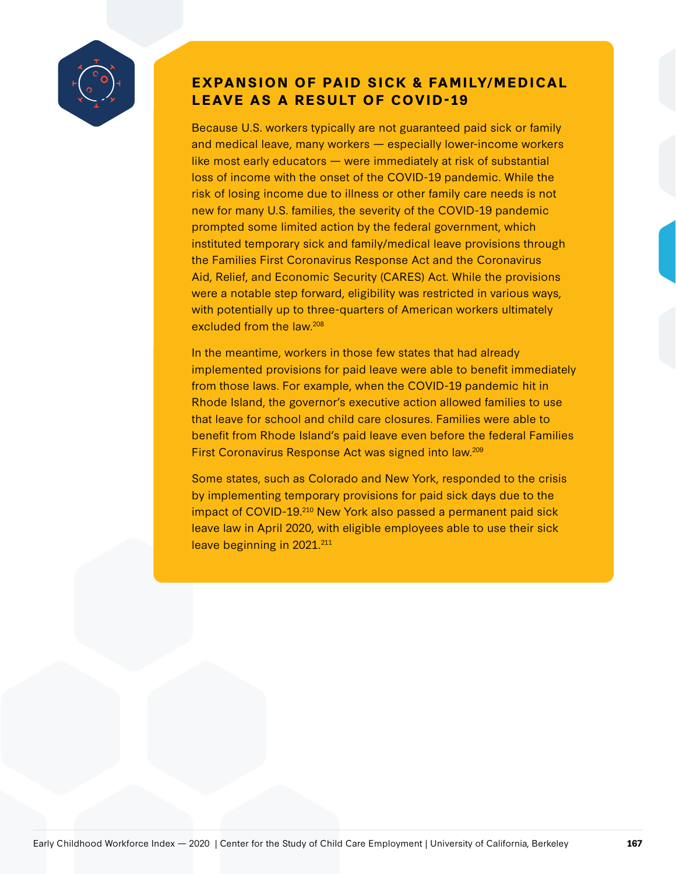

### **EXPANSION OF PAID SICK & FAMILY/MEDICAL LEAVE AS A RESULT OF COVID-19**

Because U.S. workers typically are not guaranteed paid sick or family and medical leave, many workers — especially lower-income workers like most early educators — were immediately at risk of substantial loss of income with the onset of the COVID-19 pandemic. While the risk of losing income due to illness or other family care needs is not new for many U.S. families, the severity of the COVID-19 pandemic prompted some limited action by the federal government, which instituted temporary sick and family/medical leave provisions through the Families First Coronavirus Response Act and the Coronavirus Aid, Relief, and Economic Security (CARES) Act. While the provisions were a notable step forward, eligibility was restricted in various ways, with potentially up to three-quarters of American workers ultimately excluded from the law.208

In the meantime, workers in those few states that had already implemented provisions for paid leave were able to benefit immediately from those laws. For example, when the COVID-19 pandemic hit in Rhode Island, the governor's executive action allowed families to use that leave for school and child care closures. Families were able to benefit from Rhode Island's paid leave even before the federal Families First Coronavirus Response Act was signed into law.209

Some states, such as Colorado and New York, responded to the crisis by implementing temporary provisions for paid sick days due to the impact of COVID-19.<sup>210</sup> New York also passed a permanent paid sick leave law in April 2020, with eligible employees able to use their sick leave beginning in 2021.<sup>211</sup>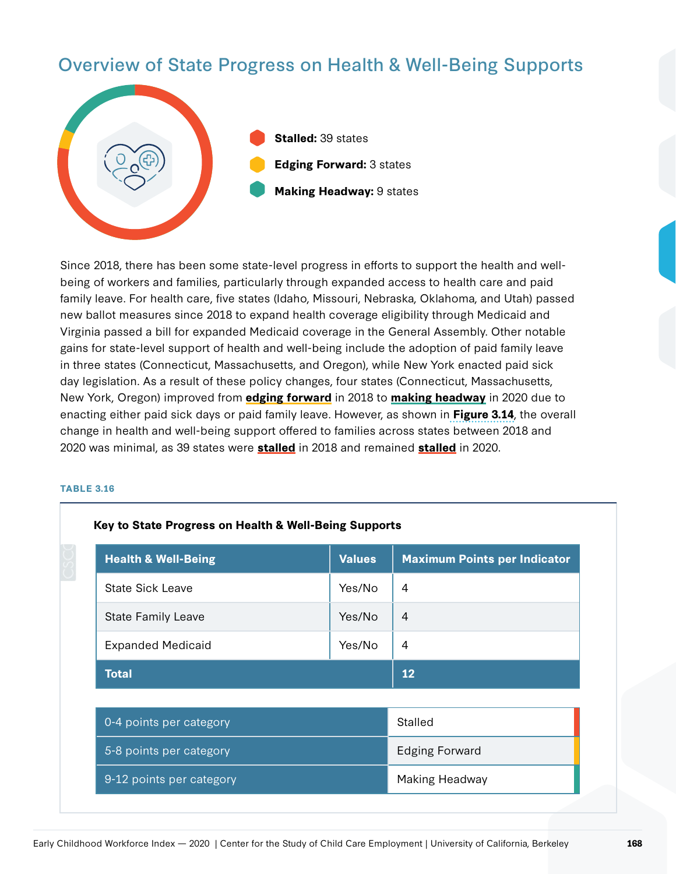## Overview of State Progress on Health & Well-Being Supports



Since 2018, there has been some state-level progress in efforts to support the health and wellbeing of workers and families, particularly through expanded access to health care and paid family leave. For health care, five states (Idaho, Missouri, Nebraska, Oklahoma, and Utah) passed new ballot measures since 2018 to expand health coverage eligibility through Medicaid and Virginia passed a bill for expanded Medicaid coverage in the General Assembly. Other notable gains for state-level support of health and well-being include the adoption of paid family leave in three states (Connecticut, Massachusetts, and Oregon), while New York enacted paid sick day legislation. As a result of these policy changes, four states (Connecticut, Massachusetts, New York, Oregon) improved from **edging forward** in 2018 to **making headway** in 2020 due to enacting either paid sick days or paid family leave. However, as shown in **Figure 3.14**, the overall change in health and well-being support offered to families across states between 2018 and 2020 was minimal, as 39 states were **stalled** in 2018 and remained **stalled** in 2020.

|  |  | ٠. |  |
|--|--|----|--|

| <b>Health &amp; Well-Being</b> | <b>Values</b> | <b>Maximum Points per Indicator</b> |  |
|--------------------------------|---------------|-------------------------------------|--|
| <b>State Sick Leave</b>        | Yes/No        | 4                                   |  |
| <b>State Family Leave</b>      | Yes/No        | $\overline{A}$                      |  |
| <b>Expanded Medicaid</b>       | Yes/No        | 4                                   |  |
| <b>Total</b>                   |               | 12                                  |  |
|                                |               |                                     |  |
| 0-4 points per category        |               | Stalled                             |  |
| 5-8 points per category        |               | <b>Edging Forward</b>               |  |
| 9-12 points per category       |               | Making Headway                      |  |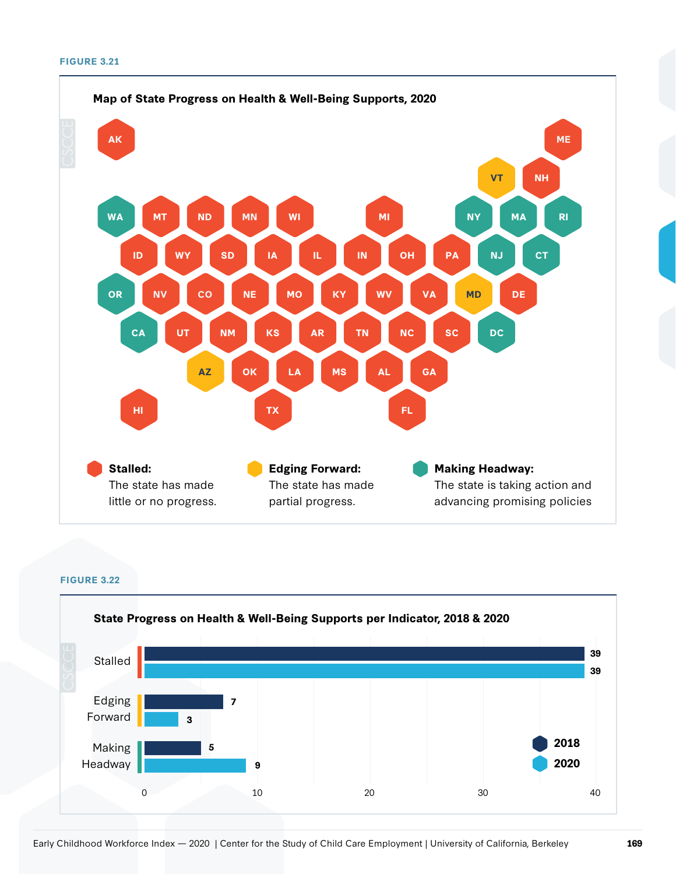

**FIGURE 3.22**

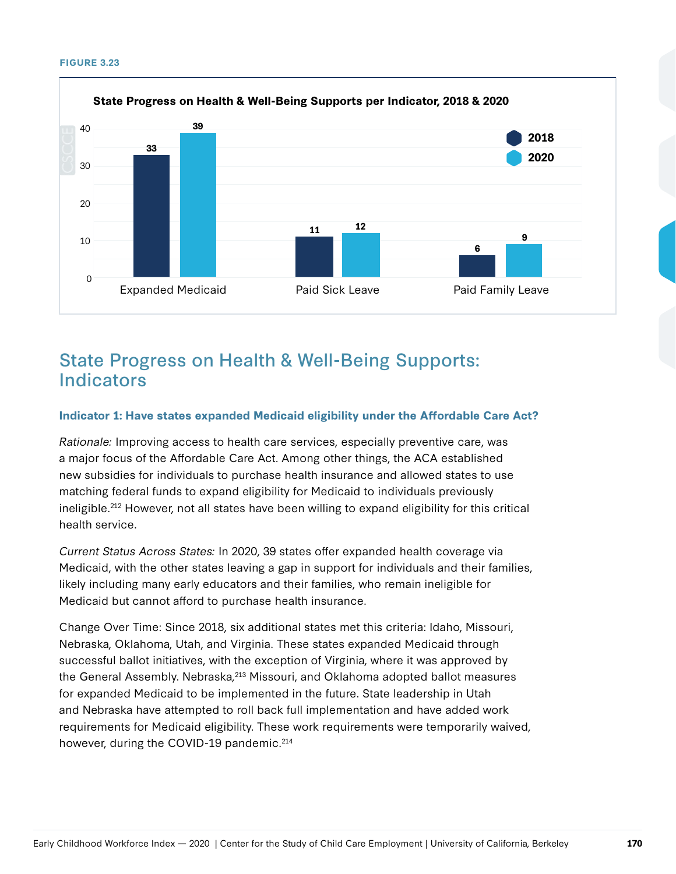#### **FIGURE 3.23**



## State Progress on Health & Well-Being Supports: **Indicators**

#### **Indicator 1: Have states expanded Medicaid eligibility under the Affordable Care Act?**

Rationale: Improving access to health care services, especially preventive care, was a major focus of the Affordable Care Act. Among other things, the ACA established new subsidies for individuals to purchase health insurance and allowed states to use matching federal funds to expand eligibility for Medicaid to individuals previously ineligible.212 However, not all states have been willing to expand eligibility for this critical health service.

Current Status Across States: In 2020, 39 states offer expanded health coverage via Medicaid, with the other states leaving a gap in support for individuals and their families, likely including many early educators and their families, who remain ineligible for Medicaid but cannot afford to purchase health insurance.

Change Over Time: Since 2018, six additional states met this criteria: Idaho, Missouri, Nebraska, Oklahoma, Utah, and Virginia. These states expanded Medicaid through successful ballot initiatives, with the exception of Virginia, where it was approved by the General Assembly. Nebraska, <sup>213</sup> Missouri, and Oklahoma adopted ballot measures for expanded Medicaid to be implemented in the future. State leadership in Utah and Nebraska have attempted to roll back full implementation and have added work requirements for Medicaid eligibility. These work requirements were temporarily waived, however, during the COVID-19 pandemic.<sup>214</sup>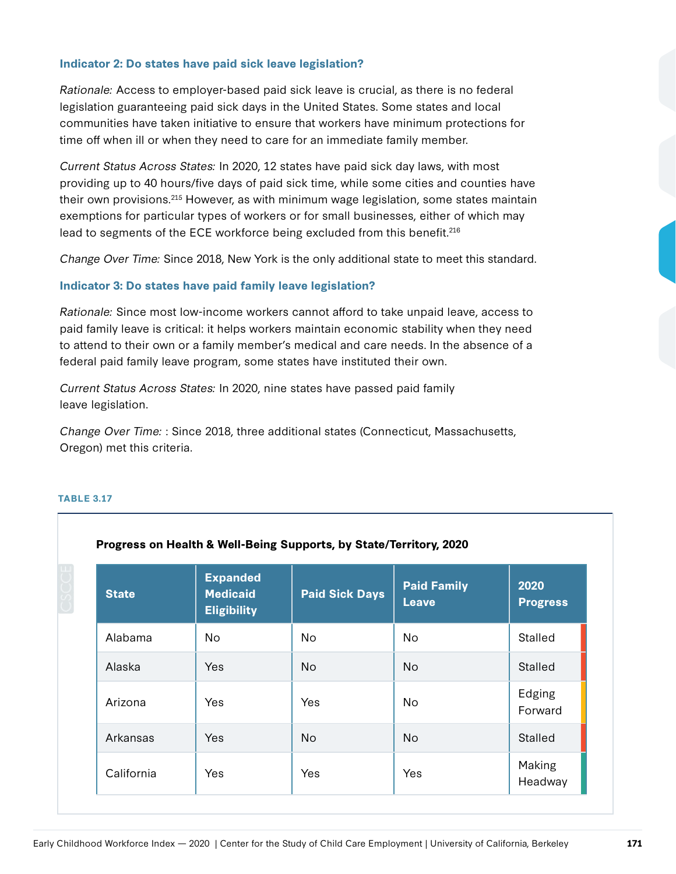#### **Indicator 2: Do states have paid sick leave legislation?**

Rationale: Access to employer-based paid sick leave is crucial, as there is no federal legislation guaranteeing paid sick days in the United States. Some states and local communities have taken initiative to ensure that workers have minimum protections for time off when ill or when they need to care for an immediate family member.

Current Status Across States: In 2020, 12 states have paid sick day laws, with most providing up to 40 hours/five days of paid sick time, while some cities and counties have their own provisions.<sup>215</sup> However, as with minimum wage legislation, some states maintain exemptions for particular types of workers or for small businesses, either of which may lead to segments of the ECE workforce being excluded from this benefit.216

Change Over Time: Since 2018, New York is the only additional state to meet this standard.

#### **Indicator 3: Do states have paid family leave legislation?**

Rationale: Since most low-income workers cannot afford to take unpaid leave, access to paid family leave is critical: it helps workers maintain economic stability when they need to attend to their own or a family member's medical and care needs. In the absence of a federal paid family leave program, some states have instituted their own.

Current Status Across States: In 2020, nine states have passed paid family leave legislation.

Change Over Time: : Since 2018, three additional states (Connecticut, Massachusetts, Oregon) met this criteria.

| <b>State</b> | <b>Expanded</b><br><b>Medicaid</b><br><b>Eligibility</b> | <b>Paid Sick Days</b> | <b>Paid Family</b><br><b>Leave</b> | 2020<br><b>Progress</b> |
|--------------|----------------------------------------------------------|-----------------------|------------------------------------|-------------------------|
| Alabama      | No.                                                      | No.                   | No                                 | Stalled                 |
| Alaska       | <b>Yes</b>                                               | No.                   | <b>No</b>                          | Stalled                 |
| Arizona      | <b>Yes</b>                                               | Yes                   | No.                                | Edging<br>Forward       |
| Arkansas     | Yes                                                      | <b>No</b>             | <b>No</b>                          | Stalled                 |
| California   | Yes                                                      | Yes                   | Yes                                | Making<br>Headway       |

#### **TABLE 3.17**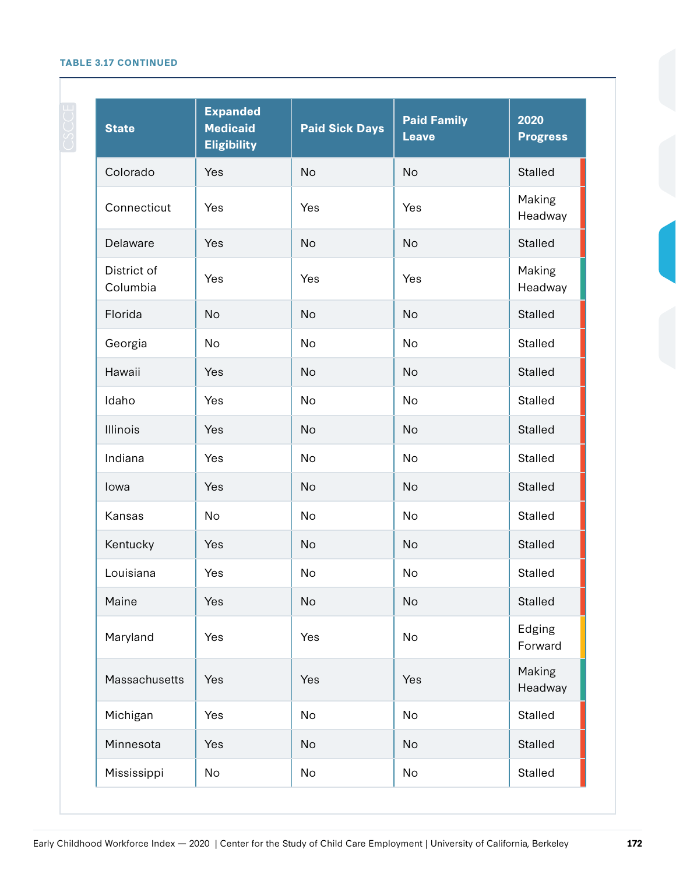#### **TABLE 3.17 CONTINUED**

| <b>State</b>            | <b>Expanded</b><br><b>Medicaid</b><br><b>Eligibility</b> | <b>Paid Sick Days</b> | <b>Paid Family</b><br><b>Leave</b> | 2020<br><b>Progress</b> |
|-------------------------|----------------------------------------------------------|-----------------------|------------------------------------|-------------------------|
| Colorado                | Yes                                                      | <b>No</b>             | <b>No</b>                          | <b>Stalled</b>          |
| Connecticut             | Yes                                                      | Yes                   | Yes                                | Making<br>Headway       |
| Delaware                | Yes                                                      | <b>No</b>             | <b>No</b>                          | Stalled                 |
| District of<br>Columbia | Yes                                                      | Yes                   | Yes                                | Making<br>Headway       |
| Florida                 | <b>No</b>                                                | <b>No</b>             | <b>No</b>                          | <b>Stalled</b>          |
| Georgia                 | <b>No</b>                                                | No                    | <b>No</b>                          | Stalled                 |
| Hawaii                  | Yes                                                      | <b>No</b>             | <b>No</b>                          | <b>Stalled</b>          |
| Idaho                   | Yes                                                      | <b>No</b>             | <b>No</b>                          | <b>Stalled</b>          |
| <b>Illinois</b>         | Yes                                                      | No                    | No                                 | Stalled                 |
| Indiana                 | Yes                                                      | <b>No</b>             | <b>No</b>                          | <b>Stalled</b>          |
| lowa                    | Yes                                                      | <b>No</b>             | No                                 | <b>Stalled</b>          |
| Kansas                  | <b>No</b>                                                | No                    | <b>No</b>                          | Stalled                 |
| Kentucky                | Yes                                                      | <b>No</b>             | <b>No</b>                          | <b>Stalled</b>          |
| Louisiana               | Yes                                                      | No                    | No                                 | Stalled                 |
| Maine                   | Yes                                                      | <b>No</b>             | No                                 | Stalled                 |
| Maryland                | Yes                                                      | Yes                   | No                                 | Edging<br>Forward       |
| Massachusetts           | Yes                                                      | Yes                   | Yes                                | Making<br>Headway       |
| Michigan                | Yes                                                      | <b>No</b>             | No                                 | Stalled                 |
| Minnesota               | Yes                                                      | <b>No</b>             | No                                 | Stalled                 |
| Mississippi             | No                                                       | No                    | No                                 | Stalled                 |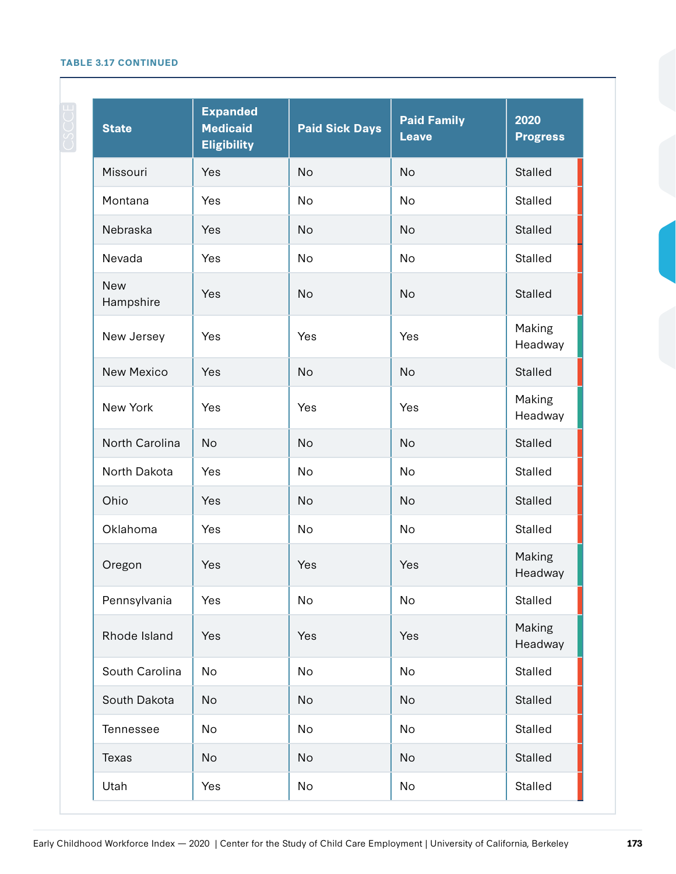#### **TABLE 3.17 CONTINUED**

| <b>State</b>            | <b>Expanded</b><br><b>Medicaid</b><br><b>Eligibility</b> | <b>Paid Sick Days</b> | <b>Paid Family</b><br><b>Leave</b> | 2020<br><b>Progress</b> |
|-------------------------|----------------------------------------------------------|-----------------------|------------------------------------|-------------------------|
| Missouri                | Yes                                                      | <b>No</b>             | <b>No</b>                          | <b>Stalled</b>          |
| Montana                 | Yes                                                      | <b>No</b>             | <b>No</b>                          | <b>Stalled</b>          |
| Nebraska                | Yes                                                      | <b>No</b>             | No                                 | <b>Stalled</b>          |
| Nevada                  | Yes                                                      | <b>No</b>             | <b>No</b>                          | <b>Stalled</b>          |
| <b>New</b><br>Hampshire | Yes                                                      | <b>No</b>             | <b>No</b>                          | <b>Stalled</b>          |
| New Jersey              | Yes                                                      | Yes                   | Yes                                | Making<br>Headway       |
| <b>New Mexico</b>       | Yes                                                      | <b>No</b>             | <b>No</b>                          | <b>Stalled</b>          |
| New York                | Yes                                                      | Yes                   | Yes                                | Making<br>Headway       |
| North Carolina          | <b>No</b>                                                | <b>No</b>             | <b>No</b>                          | <b>Stalled</b>          |
| North Dakota            | Yes                                                      | No                    | No                                 | <b>Stalled</b>          |
| Ohio                    | Yes                                                      | <b>No</b>             | <b>No</b>                          | <b>Stalled</b>          |
| Oklahoma                | Yes                                                      | No                    | No                                 | Stalled                 |
| Oregon                  | Yes                                                      | Yes                   | Yes                                | Making<br>Headway       |
| Pennsylvania            | Yes                                                      | No                    | No                                 | Stalled                 |
| Rhode Island            | Yes                                                      | Yes                   | Yes                                | Making<br>Headway       |
| South Carolina          | <b>No</b>                                                | <b>No</b>             | No                                 | <b>Stalled</b>          |
| South Dakota            | No                                                       | No                    | <b>No</b>                          | Stalled                 |
| Tennessee               | No                                                       | <b>No</b>             | No                                 | Stalled                 |
| Texas                   | No                                                       | No                    | No                                 | Stalled                 |
| Utah                    | Yes                                                      | No                    | No                                 | Stalled                 |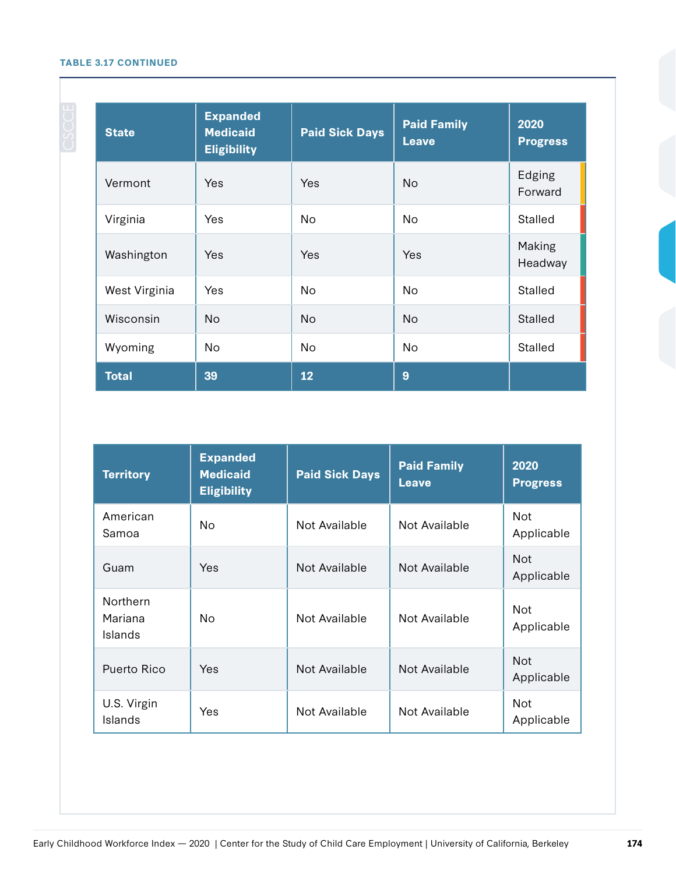#### **TABLE 3.17 CONTINUED**

| <b>State</b>  | <b>Expanded</b><br><b>Medicaid</b><br><b>Eligibility</b> | <b>Paid Sick Days</b> | <b>Paid Family</b><br><b>Leave</b> | 2020<br><b>Progress</b> |
|---------------|----------------------------------------------------------|-----------------------|------------------------------------|-------------------------|
| Vermont       | Yes                                                      | Yes                   | <b>No</b>                          | Edging<br>Forward       |
| Virginia      | Yes                                                      | No.                   | <b>No</b>                          | Stalled                 |
| Washington    | Yes                                                      | Yes                   | Yes                                | Making<br>Headway       |
| West Virginia | Yes                                                      | <b>No</b>             | <b>No</b>                          | Stalled                 |
| Wisconsin     | <b>No</b>                                                | <b>No</b>             | <b>No</b>                          | Stalled                 |
| Wyoming       | No.                                                      | <b>No</b>             | <b>No</b>                          | <b>Stalled</b>          |
| <b>Total</b>  | 39                                                       | 12                    | 9                                  |                         |

| <b>Territory</b>                      | <b>Expanded</b><br><b>Medicaid</b><br><b>Eligibility</b> | <b>Paid Sick Days</b> | <b>Paid Family</b><br><b>Leave</b> | 2020<br><b>Progress</b>  |
|---------------------------------------|----------------------------------------------------------|-----------------------|------------------------------------|--------------------------|
| American<br>Samoa                     | No.                                                      | Not Available         | Not Available                      | <b>Not</b><br>Applicable |
| Guam                                  | Yes.                                                     | Not Available         | Not Available                      | <b>Not</b><br>Applicable |
| <b>Northern</b><br>Mariana<br>Islands | No.                                                      | Not Available         | Not Available                      | <b>Not</b><br>Applicable |
| Puerto Rico                           | Yes.                                                     | Not Available         | Not Available                      | <b>Not</b><br>Applicable |
| U.S. Virgin<br>Islands                | Yes                                                      | Not Available         | Not Available                      | <b>Not</b><br>Applicable |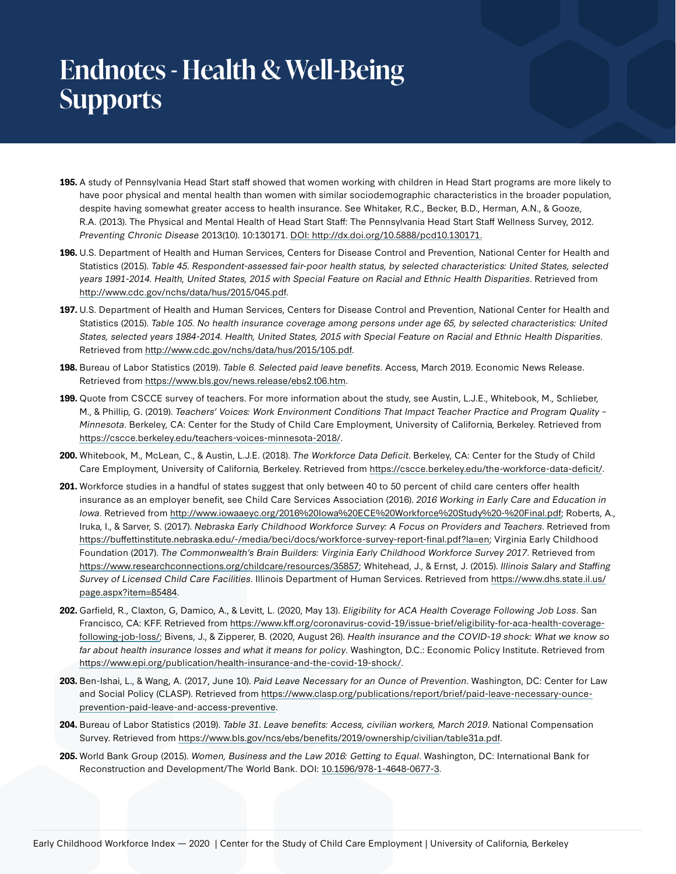# **Endnotes - Health & Well-Being Supports**

- **195.** A study of Pennsylvania Head Start staff showed that women working with children in Head Start programs are more likely to have poor physical and mental health than women with similar sociodemographic characteristics in the broader population, despite having somewhat greater access to health insurance. See Whitaker, R.C., Becker, B.D., Herman, A.N., & Gooze, R.A. (2013). The Physical and Mental Health of Head Start Staff: The Pennsylvania Head Start Staff Wellness Survey, 2012. Preventing Chronic Disease 2013(10). 10:130171. [DOI: http://dx.doi.org/10.5888/pcd10.130171.](http://dx.doi.org/10.5888/pcd10.130171)
- **196.** U.S. Department of Health and Human Services, Centers for Disease Control and Prevention, National Center for Health and Statistics (2015). Table 45. Respondent-assessed fair-poor health status, by selected characteristics: United States, selected years 1991-2014. Health, United States, 2015 with Special Feature on Racial and Ethnic Health Disparities. Retrieved from <http://www.cdc.gov/nchs/data/hus/2015/045.pdf>.
- **197.** U.S. Department of Health and Human Services, Centers for Disease Control and Prevention, National Center for Health and Statistics (2015). Table 105. No health insurance coverage among persons under age 65, by selected characteristics: United States, selected years 1984-2014. Health, United States, 2015 with Special Feature on Racial and Ethnic Health Disparities. Retrieved from [http://www.cdc.gov/nchs/data/hus/2015/105.pdf.](http://www.cdc.gov/nchs/data/hus/2015/105.pdf)
- **198.** Bureau of Labor Statistics (2019). Table 6. Selected paid leave benefits. Access, March 2019. Economic News Release. Retrieved from <https://www.bls.gov/news.release/ebs2.t06.htm>.
- **199.** Quote from CSCCE survey of teachers. For more information about the study, see Austin, L.J.E., Whitebook, M., Schlieber, M., & Phillip, G. (2019). Teachers' Voices: Work Environment Conditions That Impact Teacher Practice and Program Quality – Minnesota. Berkeley, CA: Center for the Study of Child Care Employment, University of California, Berkeley. Retrieved from <https://cscce.berkeley.edu/teachers-voices-minnesota-2018/>.
- **200.** Whitebook, M., McLean, C., & Austin, L.J.E. (2018). The Workforce Data Deficit. Berkeley, CA: Center for the Study of Child Care Employment, University of California, Berkeley. Retrieved from [https://cscce.berkeley.edu/the-workforce-data-deficit/.](https://cscce.berkeley.edu/the-workforce-data-deficit/)
- **201.** Workforce studies in a handful of states suggest that only between 40 to 50 percent of child care centers offer health insurance as an employer benefit, see Child Care Services Association (2016). 2016 Working in Early Care and Education in Iowa. Retrieved from<http://www.iowaaeyc.org/2016%20Iowa%20ECE%20Workforce%20Study%20-%20Final.pdf>; Roberts, A., Iruka, I., & Sarver, S. (2017). Nebraska Early Childhood Workforce Survey: A Focus on Providers and Teachers. Retrieved from <https://buffettinstitute.nebraska.edu/-/media/beci/docs/workforce-survey-report-final.pdf?la=en>; Virginia Early Childhood Foundation (2017). The Commonwealth's Brain Builders: Virginia Early Childhood Workforce Survey 2017. Retrieved from <https://www.researchconnections.org/childcare/resources/35857>; Whitehead, J., & Ernst, J. (2015). Illinois Salary and Staffing Survey of Licensed Child Care Facilities. Illinois Department of Human Services. Retrieved from [https://www.dhs.state.il.us/](https://www.dhs.state.il.us/page.aspx?item=85484) [page.aspx?item=85484](https://www.dhs.state.il.us/page.aspx?item=85484).
- **202.** Garfield, R., Claxton, G, Damico, A., & Levitt, L. (2020, May 13). Eligibility for ACA Health Coverage Following Job Loss. San Francisco, CA: KFF. Retrieved from [https://www.kff.org/coronavirus-covid-19/issue-brief/eligibility-for-aca-health-coverage](https://www.kff.org/coronavirus-covid-19/issue-brief/eligibility-for-aca-health-coverage-following-job-loss/)[following-job-loss/;](https://www.kff.org/coronavirus-covid-19/issue-brief/eligibility-for-aca-health-coverage-following-job-loss/) Bivens, J., & Zipperer, B. (2020, August 26). Health insurance and the COVID-19 shock: What we know so far about health insurance losses and what it means for policy. Washington, D.C.: Economic Policy Institute. Retrieved from <https://www.epi.org/publication/health-insurance-and-the-covid-19-shock/>.
- **203.** Ben-Ishai, L., & Wang, A. (2017, June 10). Paid Leave Necessary for an Ounce of Prevention. Washington, DC: Center for Law and Social Policy (CLASP). Retrieved from [https://www.clasp.org/publications/report/brief/paid-leave-necessary-ounce](https://www.clasp.org/publications/report/brief/paid-leave-necessary-ounce-prevention-paid-leave-and-access-preventive)[prevention-paid-leave-and-access-preventive.](https://www.clasp.org/publications/report/brief/paid-leave-necessary-ounce-prevention-paid-leave-and-access-preventive)
- **204.** Bureau of Labor Statistics (2019). Table 31. Leave benefits: Access, civilian workers, March 2019. National Compensation Survey. Retrieved from <https://www.bls.gov/ncs/ebs/benefits/2019/ownership/civilian/table31a.pdf>.
- **205.** World Bank Group (2015). Women, Business and the Law 2016: Getting to Equal. Washington, DC: International Bank for Reconstruction and Development/The World Bank. DOI: [10.1596/978-1-4648-0677-3.](https://doi.org/10.1596/978-1-4648-0677-3)